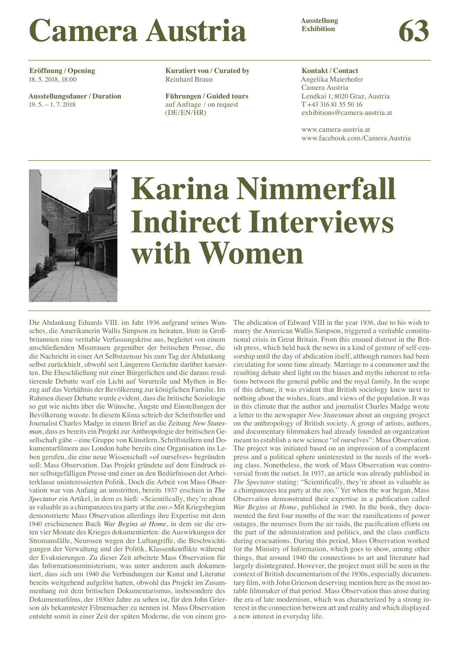# **Ausstellung Camera Austria Exhibition Camera Austria Camera Austria**

**Eröffnung / Opening** 18. 5. 2018, 18:00

**Ausstellungsdauer / Duration** 19. 5. – 1. 7. 2018

**Kuratiert von / Curated by** Reinhard Braun

**Führungen / Guided tours** auf Anfrage / on request (DE/EN/HR)

**Kontakt / Contact** 

Angelika Maierhofer Camera Austria Lendkai 1, 8020 Graz, Austria T +43 316 81 55 50 16 exhibitions@camera-austria.at

www.camera-austria.at www.facebook.com/Camera.Austria



# **Karina Nimmerfall Indirect Interviews with Women**

Die Abdankung Eduards VIII. im Jahr 1936 aufgrund seines Wunsches, die Amerikanerin Wallis Simpson zu heiraten, löste in Großbritannien eine veritable Verfassungskrise aus, begleitet von einem anschließenden Misstrauen gegenüber der britischen Presse, die die Nachricht in einer Art Selbstzensur bis zum Tag der Abdankung selbst zurückhielt, obwohl seit Längerem Gerüchte darüber kursierten. Die Eheschließung mit einer Bürgerlichen und die daraus resultierende Debatte warf ein Licht auf Vorurteile und Mythen in Bezug auf das Verhältnis der Bevölkerung zur königlichen Familie. Im Rahmen dieser Debatte wurde evident, dass die britische Soziologie so gut wie nichts über die Wünsche, Ängste und Einstellungen der Bevölkerung wusste. In diesem Klima schrieb der Schriftsteller und Journalist Charles Madge in einem Brief an die Zeitung New States*man*, dass es bereits ein Projekt zur Anthropologie der britischen Gesellschaft gäbe – eine Gruppe von Künstlern, Schriftstellern und Dokumentarfilmern aus London habe bereits eine Organisation ins Leben gerufen, die eine neue Wissenschaft »of ourselves« begründen soll: Mass Observation. Das Projekt gründete auf dem Eindruck einer selbstgefälligen Presse und einer an den Bedürfnissen der Arbeiterklasse uninteressierten Politik. Doch die Arbeit von Mass Observation war von Anfang an umstritten, bereits 1937 erschien in *The Spectator* ein Artikel, in dem es hieß: »Scientifically, they're about as valuable as a chimpanzees tea party at the zoo.« Mit Kriegsbeginn demonstrierte Mass Observation allerdings ihre Expertise mit dem 1940 erschienenen Buch *War Begins at Home*, in dem sie die ersten vier Monate des Krieges dokumentierten: die Auswirkungen der Stromausfälle, Neurosen wegen der Luftangriffe, die Beschwichtigungen der Verwaltung und der Politik, Klassenkonflikte während der Evakuierungen. Zu dieser Zeit arbeitete Mass Observation für das Informationsministerium, was unter anderem auch dokumentiert, dass sich um 1940 die Verbindungen zur Kunst und Literatur bereits weitgehend aufgelöst hatten, obwohl das Projekt im Zusammenhang mit dem britischen Dokumentarismus, insbesondere des Dokumentarfilms, der 1930er Jahre zu sehen ist, für den John Grierson als bekanntester Filmemacher zu nennen ist. Mass Observation entsteht somit in einer Zeit der späten Moderne, die von einem gro-

The abdication of Edward VIII in the year 1936, due to his wish to marry the American Wallis Simpson, triggered a veritable constitutional crisis in Great Britain. From this ensued distrust in the British press, which held back the news in a kind of gesture of self-censorship until the day of abdication itself, although rumors had been circulating for some time already. Marriage to a commoner and the resulting debate shed light on the biases and myths inherent to relations between the general public and the royal family. In the scope of this debate, it was evident that British sociology knew next to nothing about the wishes, fears, and views of the population. It was in this climate that the author and journalist Charles Madge wrote a letter to the newspaper *New Statesman* about an ongoing project on the anthropology of British society. A group of artists, authors, and documentary filmmakers had already founded an organization meant to establish a new science "of ourselves": Mass Observation. The project was initiated based on an impression of a complacent press and a political sphere uninterested in the needs of the working class. Nonetheless, the work of Mass Observation was controversial from the outset. In 1937, an article was already published in *The Spectator* stating: "Scientifically, they're about as valuable as a chimpanzees tea party at the zoo." Yet when the war began, Mass Observation demonstrated their expertise in a publication called *War Begins at Home*, published in 1940. In the book, they documented the first four months of the war: the ramifications of power outages, the neuroses from the air raids, the pacification efforts on the part of the administration and politics, and the class conflicts during evacuations. During this period, Mass Observation worked for the Ministry of Information, which goes to show, among other things, that around 1940 the connections to art and literature had largely disintegrated. However, the project must still be seen in the context of British documentarism of the 1930s, especially documentary film, with John Grierson deserving mention here as the most notable filmmaker of that period. Mass Observation thus arose during the era of late modernism, which was characterized by a strong interest in the connection between art and reality and which displayed a new interest in everyday life.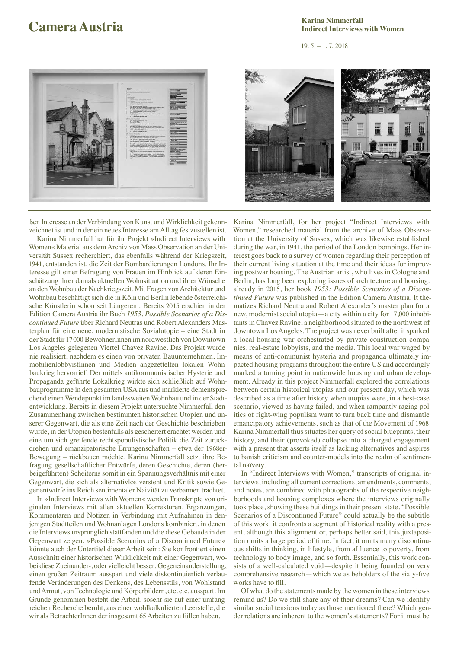## **Camera Austria Exhibition Example 19.5. Exhibition Exhibition Exhibition Exhibition Exhibition Exhibition Exhibition Exhibition Exhibition Exhibition Exhibition Exhibition Exhibition Exhibi Karina Nimmerfall**<br>Indirect Interviews with Women **IDENTIA EXAMPLE SURFER SURFER SURFER SURFER SURFER SURFER SURFER SURFER SURFER SURFER SURFER SURFER SURFER SURFER SURFER SURFER SURFER SURFER SURFER SURFER SURFER SURFER SURFER SURFER SURFER SURFER SURFER SURFER SURFER SU**

19. 5. – 1. 7. 2018



ßen Interesse an der Verbindung von Kunst und Wirklichkeit gekennzeichnet ist und in der ein neues Interesse am Alltag festzustellen ist.

Karina Nimmerfall hat für ihr Projekt »Indirect Interviews with Women« Material aus dem Archiv von Mass Observation an der Universität Sussex recherchiert, das ebenfalls während der Kriegszeit, 1941, entstanden ist, die Zeit der Bombardierungen Londons. Ihr Interesse gilt einer Befragung von Frauen im Hinblick auf deren Einschätzung ihrer damals aktuellen Wohnsituation und ihrer Wünsche an den Wohnbau der Nachkriegszeit. Mit Fragen von Architektur und Wohnbau beschäftigt sich die in Köln und Berlin lebende österreichische Künstlerin schon seit Längerem: Bereits 2015 erschien in der Edition Camera Austria ihr Buch *1953. Possible Scenarios of a Discontinued Future* über Richard Neutras und Robert Alexanders Masterplan für eine neue, modernistische Sozialutopie – eine Stadt in der Stadt für 17000 BewohnerInnen im nordwestlich von Downtown Los Angeles gelegenen Viertel Chavez Ravine. Das Projekt wurde nie realisiert, nachdem es einen von privaten Bauunternehmen, ImmobilienlobbyistInnen und Medien angezettelten lokalen Wohnbaukrieg hervorrief. Der mittels antikommunistischer Hysterie und Propaganda geführte Lokalkrieg wirkte sich schließlich auf Wohnbauprogramme in den gesamten USA aus und markierte dementsprechend einen Wendepunkt im landesweiten Wohnbau und in der Stadtentwicklung. Bereits in diesem Projekt untersuchte Nimmerfall den Zusammenhang zwischen bestimmten historischen Utopien und unserer Gegenwart, die als eine Zeit nach der Geschichte beschrieben wurde, in der Utopien bestenfalls als gescheitert erachtet werden und eine um sich greifende rechtspopulistische Politik die Zeit zurückdrehen und emanzipatorische Errungenschaften – etwa der 1968er-Bewegung – rückbauen möchte. Karina Nimmerfall setzt ihre Befragung gesellschaftlicher Entwürfe, deren Geschichte, deren (herbeigeführten) Scheiterns somit in ein Spannungsverhältnis mit einer Gegenwart, die sich als alternativlos versteht und Kritik sowie Gegenentwürfe ins Reich sentimentaler Naivität zu verbannen trachtet.

In »Indirect Interviews with Women« werden Transkripte von originalen Interviews mit allen aktuellen Korrekturen, Ergänzungen, Kommentaren und Notizen in Verbindung mit Aufnahmen in denjenigen Stadtteilen und Wohnanlagen Londons kombiniert, in denen die Interviews ursprünglich stattfanden und die diese Gebäude in der Gegenwart zeigen. »Possible Scenarios of a Discontinued Future« könnte auch der Untertitel dieser Arbeit sein: Sie konfrontiert einen Ausschnitt einer historischen Wirklichkeit mit einer Gegenwart, wobei diese Zueinander-, oder vielleicht besser: Gegeneinanderstellung, einen großen Zeitraum ausspart und viele diskontinuierlich verlaufende Veränderungen des Denkens, des Lebensstils, von Wohlstand und Armut, von Technologie und Körperbildern, etc. etc. ausspart. Im Grunde genommen besteht die Arbeit, sosehr sie auf einer umfangreichen Recherche beruht, aus einer wohlkalkulierten Leerstelle, die wir als BetrachterInnen der insgesamt 65 Arbeiten zu füllen haben.



Karina Nimmerfall, for her project "Indirect Interviews with Women," researched material from the archive of Mass Observation at the University of Sussex, which was likewise established during the war, in 1941, the period of the London bombings. Her interest goes back to a survey of women regarding their perception of their current living situation at the time and their ideas for improving postwar housing. The Austrian artist, who lives in Cologne and Berlin, has long been exploring issues of architecture and housing: already in 2015, her book *1953: Possible Scenarios of a Discontinued Future* was published in the Edition Camera Austria. It thematizes Richard Neutra and Robert Alexander's master plan for a new, modernist social utopia—a city within a city for 17,000 inhabitants in Chavez Ravine, a neighborhood situated to the northwest of downtown Los Angeles. The project was never built after it sparked a local housing war orchestrated by private construction companies, real-estate lobbyists, and the media. This local war waged by means of anti-communist hysteria and propaganda ultimately impacted housing programs throughout the entire US and accordingly marked a turning point in nationwide housing and urban development. Already in this project Nimmerfall explored the correlations between certain historical utopias and our present day, which was described as a time after history when utopias were, in a best-case scenario, viewed as having failed, and when rampantly raging politics of right-wing populism want to turn back time and dismantle emancipatory achievements, such as that of the Movement of 1968. Karina Nimmerfall thus situates her query of social blueprints, their history, and their (provoked) collapse into a charged engagement with a present that asserts itself as lacking alternatives and aspires to banish criticism and counter-models into the realm of sentimental naïvety.

In "Indirect Interviews with Women," transcripts of original interviews, including all current corrections, amendments, comments, and notes, are combined with photographs of the respective neighborhoods and housing complexes where the interviews originally took place, showing these buildings in their present state. "Possible Scenarios of a Discontinued Future" could actually be the subtitle of this work: it confronts a segment of historical reality with a present, although this alignment or, perhaps better said, this juxtaposition omits a large period of time. In fact, it omits many discontinuous shifts in thinking, in lifestyle, from affluence to poverty, from technology to body image, and so forth. Essentially, this work consists of a well-calculated void—despite it being founded on very comprehensive research—which we as beholders of the sixty-five works have to fill

Of what do the statements made by the women in these interviews remind us? Do we still share any of their dreams? Can we identify similar social tensions today as those mentioned there? Which gender relations are inherent to the women's statements? For it must be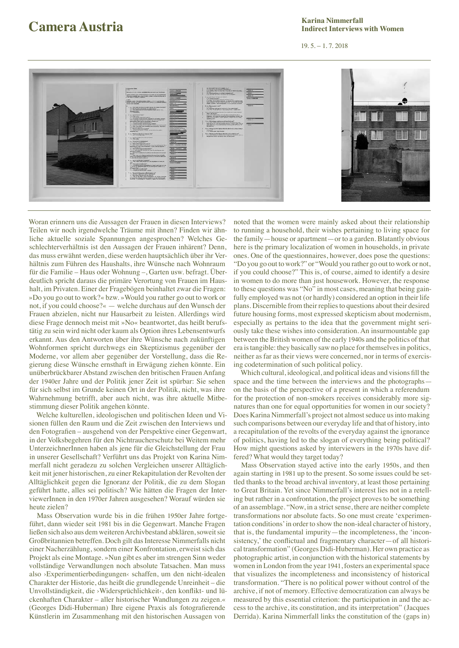# **Camera Austria Exhibition Camera Austria Camera Austria**

## **Karina Nimmerfall Indirect Interviews with Women**

## 19. 5. – 1. 7. 2018



Woran erinnern uns die Aussagen der Frauen in diesen Interviews? Teilen wir noch irgendwelche Träume mit ihnen? Finden wir ähnliche aktuelle soziale Spannungen angesprochen? Welches Geschlechterverhältnis ist den Aussagen der Frauen inhärent? Denn, das muss erwähnt werden, diese werden hauptsächlich über ihr Verhältnis zum Führen des Haushalts, ihre Wünsche nach Wohnraum für die Familie – Haus oder Wohnung –, Garten usw. befragt. Überdeutlich spricht daraus die primäre Verortung von Frauen im Haushalt, im Privaten. Einer der Fragebögen beinhaltet zwar die Fragen: »Do you go out to work?« bzw. »Would you rather go out to work or not, if you could choose?« — welche durchaus auf den Wunsch der Frauen abzielen, nicht nur Hausarbeit zu leisten. Allerdings wird diese Frage dennoch meist mit »No« beantwortet, das heißt berufstätig zu sein wird nicht oder kaum als Option ihres Lebensentwurfs erkannt. Aus den Antworten über ihre Wünsche nach zukünftigen Wohnformen spricht durchwegs ein Skeptizismus gegenüber der Moderne, vor allem aber gegenüber der Vorstellung, dass die Regierung diese Wünsche ernsthaft in Erwägung ziehen könnte. Ein unüberbrückbarer Abstand zwischen den britischen Frauen Anfang der 1940er Jahre und der Politik jener Zeit ist spürbar: Sie sehen für sich selbst im Grunde keinen Ort in der Politik, nicht, was ihre Wahrnehmung betrifft, aber auch nicht, was ihre aktuelle Mitbestimmung dieser Politik angehen könnte.

Welche kulturellen, ideologischen und politischen Ideen und Visionen füllen den Raum und die Zeit zwischen den Interviews und den Fotografien – ausgehend von der Perspektive einer Gegenwart, in der Volksbegehren für den Nichtraucherschutz bei Weitem mehr UnterzeichnerInnen haben als jene für die Gleichstellung der Frau in unserer Gesellschaft? Verführt uns das Projekt von Karina Nimmerfall nicht geradezu zu solchen Vergleichen unserer Alltäglichkeit mit jener historischen, zu einer Rekapitulation der Revolten der Alltäglichkeit gegen die Ignoranz der Politik, die zu dem Slogan geführt hatte, alles sei politisch? Wie hätten die Fragen der InterviewerInnen in den 1970er Jahren ausgesehen? Worauf würden sie heute zielen?

Mass Observation wurde bis in die frühen 1950er Jahre fortgeführt, dann wieder seit 1981 bis in die Gegenwart. Manche Fragen ließen sich also aus dem weiteren Archivbestand abklären, soweit sie Großbritannien betreffen. Doch gilt das Interesse Nimmerfalls nicht einer Nacherzählung, sondern einer Konfrontation, erweist sich das Projekt als eine Montage. »Nun gibt es aber im strengen Sinn weder vollständige Verwandlungen noch absolute Tatsachen. Man muss also ›Experimentierbedingungen‹ schaffen, um den nicht-idealen Charakter der Historie, das heißt die grundlegende Unreinheit – die Unvollständigkeit, die >Widersprüchlichkeit<, den konflikt- und lückenhaften Charakter – aller historischer Wandlungen zu zeigen.« (Georges Didi-Huberman) Ihre eigene Praxis als fotografierende Künstlerin im Zusammenhang mit den historischen Aussagen von

noted that the women were mainly asked about their relationship to running a household, their wishes pertaining to living space for the family—house or apartment—or to a garden. Blatantly obvious here is the primary localization of women in households, in private ones. One of the questionnaires, however, does pose the questions: "Do you go out to work?" or "Would you rather go out to work or not, if you could choose?" This is, of course, aimed to identify a desire in women to do more than just housework. However, the response to these questions was "No" in most cases, meaning that being gainfully employed was not (or hardly) considered an option in their life plans. Discernible from their replies to questions about their desired future housing forms, most expressed skepticism about modernism, especially as pertains to the idea that the government might seriously take these wishes into consideration. An insurmountable gap between the British women of the early 1940s and the politics of that era is tangible: they basically saw no place for themselves in politics, neither as far as their views were concerned, nor in terms of exercising codetermination of such political policy.

Which cultural, ideological, and political ideas and visions fill the space and the time between the interviews and the photographs on the basis of the perspective of a present in which a referendum for the protection of non-smokers receives considerably more signatures than one for equal opportunities for women in our society? Does Karina Nimmerfall's project not almost seduce us into making such comparisons between our everyday life and that of history, into a recapitulation of the revolts of the everyday against the ignorance of politics, having led to the slogan of everything being political? How might questions asked by interviewers in the 1970s have differed? What would they target today?

Mass Observation stayed active into the early 1950s, and then again starting in 1981 up to the present. So some issues could be settled thanks to the broad archival inventory, at least those pertaining to Great Britain. Yet since Nimmerfall's interest lies not in a retelling but rather in a confrontation, the project proves to be something of an assemblage. "Now, in a strict sense, there are neither complete transformations nor absolute facts. So one must create 'experimentation conditions' in order to show the non-ideal character of history, that is, the fundamental impurity—the incompleteness, the 'inconsistency,' the conflictual and fragmentary character-of all historical transformation" (Georges Didi-Huberman). Her own practice as photographic artist, in conjunction with the historical statements by women in London from the year 1941, fosters an experimental space that visualizes the incompleteness and inconsistency of historical transformation. "There is no political power without control of the archive, if not of memory. Effective democratization can always be measured by this essential criterion: the participation in and the access to the archive, its constitution, and its interpretation" (Jacques Derrida). Karina Nimmerfall links the constitution of the (gaps in)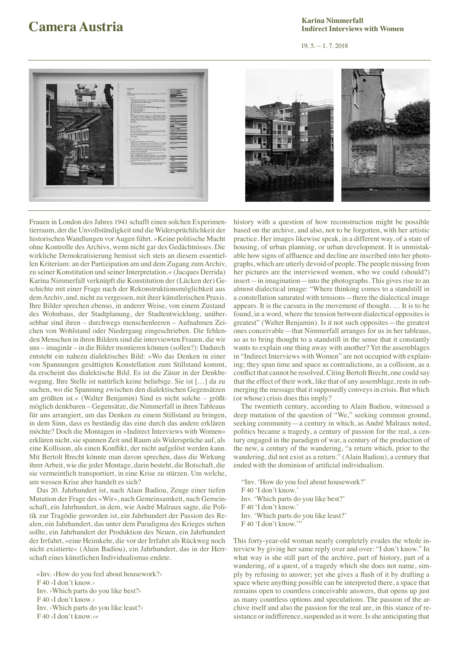### **Camera Austria Camera Austria Camera Austria Camera Austria Camera Austria Camera Austria Camera Austria Karina Nimmerfall Indirect Interviews with Women**

19. 5. – 1. 7. 2018



Frauen in London des Jahres 1941 schafft einen solchen Experimentierraum, der die Unvollständigkeit und die Widersprüchlichkeit der historischen Wandlungen vor Augen führt. »Keine politische Macht ohne Kontrolle des Archivs, wenn nicht gar des Gedächtnisses. Die wirkliche Demokratisierung bemisst sich stets an diesem essentiellen Kriterium: an der Partizipation am und dem Zugang zum Archiv, zu seiner Konstitution und seiner Interpretation.« (Jacques Derrida) Karina Nimmerfall verknüpft die Konstitution der (Lücken der) Geschichte mit einer Frage nach der Rekonstruktionsmöglichkeit aus dem Archiv, und, nicht zu vergessen, mit ihrer künstlerischen Praxis. Ihre Bilder sprechen ebenso, in anderer Weise, von einem Zustand des Wohnbaus, der Stadtplanung, der Stadtentwicklung, unübersehbar sind ihren – durchwegs menschenleeren – Aufnahmen Zeichen von Wohlstand oder Niedergang eingeschrieben. Die fehlenden Menschen in ihren Bildern sind die interviewten Frauen, die wir uns – imaginär – in die Bilder montieren können (sollen?): Dadurch entsteht ein nahezu dialektisches Bild: »Wo das Denken in einer von Spannungen gesättigten Konstellation zum Stillstand kommt, da erscheint das dialektische Bild. Es ist die Zäsur in der Denkbewegung. Ihre Stelle ist natürlich keine beliebige. Sie ist […] da zu suchen, wo die Spannung zwischen den dialektischen Gegensätzen am größten ist.« (Walter Benjamin) Sind es nicht solche – größtmöglich denkbaren – Gegensätze, die Nimmerfall in ihren Tableaus für uns arrangiert, um das Denken zu einem Stillstand zu bringen, in dem Sinn, dass es beständig das eine durch das andere erklären möchte? Doch die Montagen in »Indirect Interviews with Women« erklären nicht, sie spannen Zeit und Raum als Widersprüche auf, als eine Kollision, als einen Konflikt, der nicht aufgelöst werden kann. Mit Bertolt Brecht könnte man davon sprechen, dass die Wirkung ihrer Arbeit, wie die jeder Montage, darin besteht, die Botschaft, die sie vermeintlich transportiert, in eine Krise zu stürzen. Um welche, um wessen Krise aber handelt es sich?

Das 20. Jahrhundert ist, nach Alain Badiou, Zeuge einer tiefen Mutation der Frage des »Wir«, nach Gemeinsamkeit, nach Gemeinschaft, ein Jahrhundert, in dem, wie André Malraux sagte, die Politik zur Tragödie geworden ist, ein Jahrhundert der Passion des Realen, ein Jahrhundert, das unter dem Paradigma des Krieges stehen sollte, ein Jahrhundert der Produktion des Neuen, ein Jahrhundert der Irrfahrt, »eine Heimkehr, die vor der Irrfahrt als Rückweg noch nicht existierte« (Alain Badiou), ein Jahrhundert, das in der Herrschaft eines künstlichen Individualismus endete.

»Inv. ›How do you feel about housework?‹ F 40 >I don't know. Inv. ›Which parts do you like best?‹ F 40 >I don't know. Inv. ›Which parts do you like least?‹  $F$  40 >I don't know. $\ll$ 

history with a question of how reconstruction might be possible based on the archive, and also, not to be forgotten, with her artistic practice. Her images likewise speak, in a different way, of a state of housing, of urban planning, or urban development. It is unmistakable how signs of affluence and decline are inscribed into her photographs, which are utterly devoid of people. The people missing from her pictures are the interviewed women, who we could (should?) insert—in imagination—into the photographs. This gives rise to an almost dialectical image: "Where thinking comes to a standstill in a constellation saturated with tensions—there the dialectical image appears. It is the caesura in the movement of thought. … It is to be found, in a word, where the tension between dialectical opposites is greatest" (Walter Benjamin). Is it not such opposites—the greatest ones conceivable—that Nimmerfall arranges for us in her tableaus, so as to bring thought to a standstill in the sense that it constantly wants to explain one thing away with another? Yet the assemblages in "Indirect Interviews with Women" are not occupied with explaining; they span time and space as contradictions, as a collision, as a conflict that cannot be resolved. Citing Bertolt Brecht, one could say that the effect of their work, like that of any assemblage, rests in submerging the message that it supposedly conveys in crisis. But which (or whose) crisis does this imply?

The twentieth century, according to Alain Badiou, witnessed a deep mutation of the question of "We," seeking common ground, seeking community—a century in which, as André Malraux noted, politics became a tragedy, a century of passion for the real, a century engaged in the paradigm of war, a century of the production of the new, a century of the wandering, "a return which, prior to the wandering, did not exist as a return." (Alain Badiou), a century that ended with the dominion of artificial individualism.

"Inv. 'How do you feel about housework?' F40 'I don't know.' Inv. 'Which parts do you like best?' F40 'I don't know.' Inv. 'Which parts do you like least?' F40 'I don't know."

This forty-year-old woman nearly completely evades the whole interview by giving her same reply over and over: "I don't know." In what way is she still part of the archive, part of history, part of a wandering, of a quest, of a tragedy which she does not name, simply by refusing to answer; yet she gives a flash of it by drafting a space where anything possible can be interpreted there, a space that remains open to countless conceivable answers, that opens up just as many countless options and speculations. The passion of the archive itself and also the passion for the real are, in this stance of resistance or indifference, suspended as it were. Is she anticipating that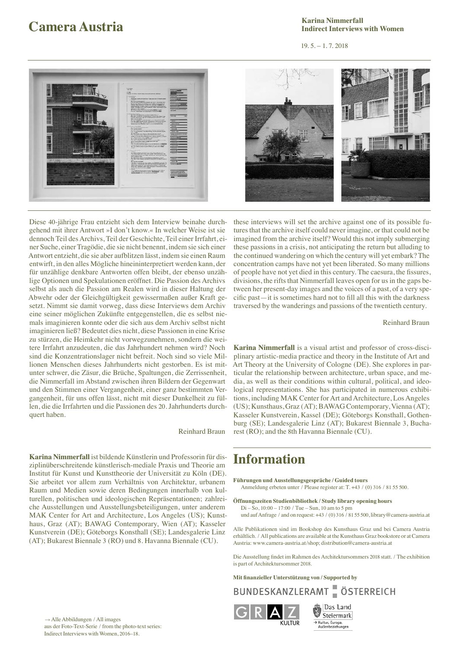### **Camera Austria Camera Austria Camera Austria Camera Austria Camera Austria Parameter Austria** *Legitime Legitime Legitime Legitime Legitime Legitime Legitime Legitime Legitime Legitime Legiti* **Karina Nimmerfall Indirect Interviews with Women**

19. 5. – 1. 7. 2018



Diese 40-jährige Frau entzieht sich dem Interview beinahe durchgehend mit ihrer Antwort »I don't know.« In welcher Weise ist sie dennoch Teil des Archivs, Teil der Geschichte, Teil einer Irrfahrt, einer Suche, einer Tragödie, die sie nicht benennt, indem sie sich einer Antwort entzieht, die sie aber aufblitzen lässt, indem sie einen Raum entwirft, in den alles Mögliche hineininterpretiert werden kann, der für unzählige denkbare Antworten offen bleibt, der ebenso unzählige Optionen und Spekulationen eröffnet. Die Passion des Archivs selbst als auch die Passion am Realen wird in dieser Haltung der Abwehr oder der Gleichgültigkeit gewissermaßen außer Kraft gesetzt. Nimmt sie damit vorweg, dass diese Interviews dem Archiv eine seiner möglichen Zukünfte entgegenstellen, die es selbst niemals imaginieren konnte oder die sich aus dem Archiv selbst nicht imaginieren ließ? Bedeutet dies nicht, diese Passionen in eine Krise zu stürzen, die Heimkehr nicht vorwegzunehmen, sondern die weitere Irrfahrt anzudeuten, die das Jahrhundert nehmen wird? Noch sind die Konzentrationslager nicht befreit. Noch sind so viele Millionen Menschen dieses Jahrhunderts nicht gestorben. Es ist mitunter schwer, die Zäsur, die Brüche, Spaltungen, die Zerrissenheit, die Nimmerfall im Abstand zwischen ihren Bildern der Gegenwart und den Stimmen einer Vergangenheit, einer ganz bestimmten Vergangenheit, für uns offen lässt, nicht mit dieser Dunkelheit zu füllen, die die Irrfahrten und die Passionen des 20. Jahrhunderts durchquert haben.

Reinhard Braun

**Karina Nimmerfall** ist bildende Künstlerin und Professorin für disziplinüberschreitende künstlerisch-mediale Praxis und Theorie am Institut für Kunst und Kunsttheorie der Universität zu Köln (DE). Sie arbeitet vor allem zum Verhältnis von Architektur, urbanem Raum und Medien sowie deren Bedingungen innerhalb von kulturellen, politischen und ideologischen Repräsentationen; zahlreiche Ausstellungen und Ausstellungsbeteiligungen, unter anderem MAK Center for Art and Architecture, Los Angeles (US); Kunsthaus, Graz (AT); BAWAG Contemporary, Wien (AT); Kasseler Kunstverein (DE); Göteborgs Konsthall (SE); Landesgalerie Linz (AT); Bukarest Biennale 3 (RO) und 8. Havanna Biennale (CU).

these interviews will set the archive against one of its possible futures that the archive itself could never imagine, or that could not be imagined from the archive itself? Would this not imply submerging these passions in a crisis, not anticipating the return but alluding to the continued wandering on which the century will yet embark? The concentration camps have not yet been liberated. So many millions of people have not yet died in this century. The caesura, the fissures, divisions, the rifts that Nimmerfall leaves open for us in the gaps between her present-day images and the voices of a past, of a very specific past—it is sometimes hard not to fill all this with the darkness traversed by the wanderings and passions of the twentieth century.

## Reinhard Braun

**Karina Nimmerfall** is a visual artist and professor of cross-disciplinary artistic-media practice and theory in the Institute of Art and Art Theory at the University of Cologne (DE). She explores in particular the relationship between architecture, urban space, and media, as well as their conditions within cultural, political, and ideological representations. She has participated in numerous exhibitions, including MAK Center for Art and Architecture, Los Angeles (US); Kunsthaus, Graz (AT); BAWAG Contemporary, Vienna (AT); Kasseler Kunstverein, Kassel (DE); Göteborgs Konsthall, Gothenburg (SE); Landesgalerie Linz (AT); Bukarest Biennale 3, Bucharest (RO); and the 8th Havanna Biennale (CU).

## **Information**

- **Führungen und Ausstellungsgespräche / Guided tours** Anmeldung erbeten unter / Please register at: T. +43 / (0) 316 / 81 55 500.
- **Öffnungszeiten Studienbibliothek / Study library opening hours**
	- Di So, 10:00 17:00 / Tue Sun, 10 am to 5 pm und auf Anfrage / and on request: +43 / (0) 316 / 81 55 500, library@camera-austria.at

Alle Publikationen sind im Bookshop des Kunsthaus Graz und bei Camera Austria erhältlich. / All publications are available at the Kunsthaus Graz bookstore or at Camera Austria: www.camera-austria.at/shop; distribution@camera-austria.at

Die Ausstellung findet im Rahmen des Architektursommers 2018 statt. / The exhibition is part of Architektursommer 2018.

**Mit finanzieller Unterstützung von / Supported by** 

BUNDESKANZLERAMT ÖSTERREICH